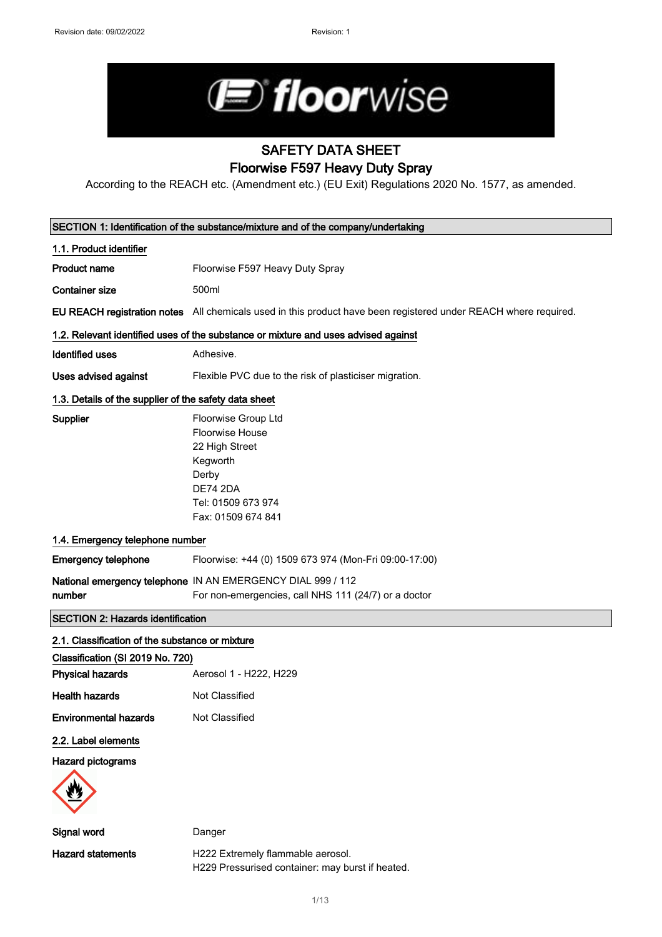

# SAFETY DATA SHEET Floorwise F597 Heavy Duty Spray

According to the REACH etc. (Amendment etc.) (EU Exit) Regulations 2020 No. 1577, as amended.

|                                                       | SECTION 1: Identification of the substance/mixture and of the company/undertaking                                                            |
|-------------------------------------------------------|----------------------------------------------------------------------------------------------------------------------------------------------|
| 1.1. Product identifier                               |                                                                                                                                              |
| <b>Product name</b>                                   | Floorwise F597 Heavy Duty Spray                                                                                                              |
| <b>Container size</b>                                 | 500ml                                                                                                                                        |
|                                                       | EU REACH registration notes All chemicals used in this product have been registered under REACH where required.                              |
|                                                       | 1.2. Relevant identified uses of the substance or mixture and uses advised against                                                           |
| <b>Identified uses</b>                                | Adhesive.                                                                                                                                    |
| Uses advised against                                  | Flexible PVC due to the risk of plasticiser migration.                                                                                       |
| 1.3. Details of the supplier of the safety data sheet |                                                                                                                                              |
| Supplier                                              | Floorwise Group Ltd<br>Floorwise House<br>22 High Street<br>Kegworth<br>Derby<br><b>DE74 2DA</b><br>Tel: 01509 673 974<br>Fax: 01509 674 841 |
| 1.4. Emergency telephone number                       |                                                                                                                                              |
| <b>Emergency telephone</b>                            | Floorwise: +44 (0) 1509 673 974 (Mon-Fri 09:00-17:00)                                                                                        |
| number                                                | National emergency telephone IN AN EMERGENCY DIAL 999 / 112<br>For non-emergencies, call NHS 111 (24/7) or a doctor                          |
| <b>SECTION 2: Hazards identification</b>              |                                                                                                                                              |
| 2.1. Classification of the substance or mixture       |                                                                                                                                              |
| Classification (SI 2019 No. 720)                      |                                                                                                                                              |
| <b>Physical hazards</b>                               | Aerosol 1 - H222, H229                                                                                                                       |
| <b>Health hazards</b>                                 | Not Classified                                                                                                                               |
| <b>Environmental hazards</b>                          | Not Classified                                                                                                                               |
| 2.2. Label elements                                   |                                                                                                                                              |
| Hazard pictograms                                     |                                                                                                                                              |
| Signal word                                           | Danger                                                                                                                                       |
| <b>Hazard statements</b>                              | H222 Extremely flammable aerosol.<br>H229 Pressurised container: may burst if heated.                                                        |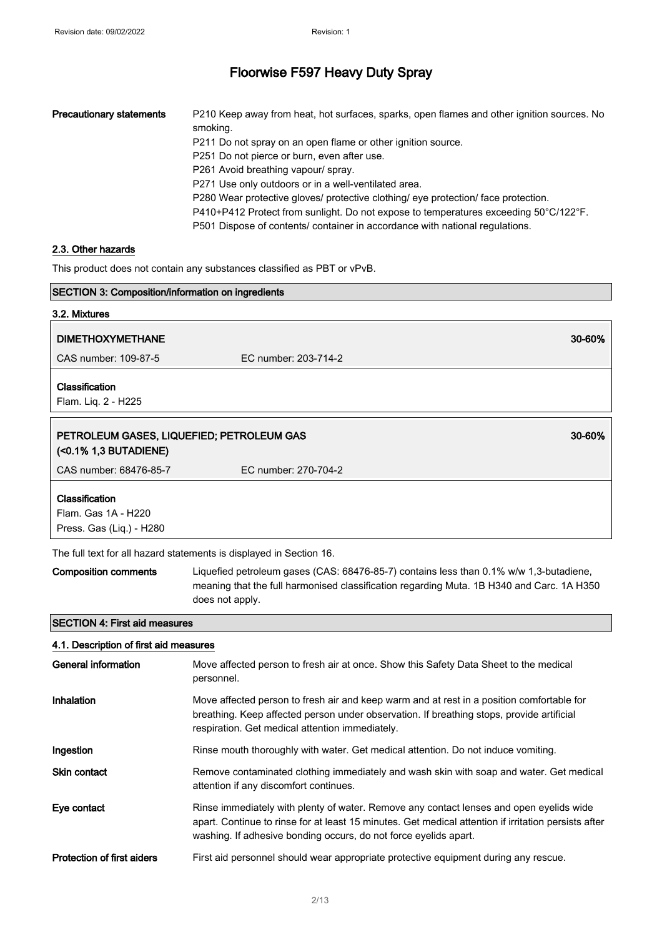| <b>Precautionary statements</b> | P210 Keep away from heat, hot surfaces, sparks, open flames and other ignition sources. No<br>smoking. |
|---------------------------------|--------------------------------------------------------------------------------------------------------|
|                                 | P211 Do not spray on an open flame or other ignition source.                                           |
|                                 | P251 Do not pierce or burn, even after use.                                                            |
|                                 | P261 Avoid breathing vapour/ spray.                                                                    |
|                                 | P271 Use only outdoors or in a well-ventilated area.                                                   |
|                                 | P280 Wear protective gloves/ protective clothing/ eye protection/ face protection.                     |
|                                 | P410+P412 Protect from sunlight. Do not expose to temperatures exceeding 50°C/122°F.                   |
|                                 | P501 Dispose of contents/ container in accordance with national regulations.                           |

## 2.3. Other hazards

This product does not contain any substances classified as PBT or vPvB.

| SECTION 3: Composition/information on ingredients                  |                                                                                                                                                                                                                                                                     |        |
|--------------------------------------------------------------------|---------------------------------------------------------------------------------------------------------------------------------------------------------------------------------------------------------------------------------------------------------------------|--------|
| 3.2. Mixtures                                                      |                                                                                                                                                                                                                                                                     |        |
| <b>DIMETHOXYMETHANE</b>                                            |                                                                                                                                                                                                                                                                     | 30-60% |
| CAS number: 109-87-5                                               | EC number: 203-714-2                                                                                                                                                                                                                                                |        |
| Classification<br>Flam. Liq. 2 - H225                              |                                                                                                                                                                                                                                                                     |        |
| PETROLEUM GASES, LIQUEFIED; PETROLEUM GAS<br>(<0.1% 1,3 BUTADIENE) |                                                                                                                                                                                                                                                                     | 30-60% |
| CAS number: 68476-85-7                                             | EC number: 270-704-2                                                                                                                                                                                                                                                |        |
| Classification<br>Flam. Gas 1A - H220<br>Press. Gas (Liq.) - H280  |                                                                                                                                                                                                                                                                     |        |
|                                                                    | The full text for all hazard statements is displayed in Section 16.                                                                                                                                                                                                 |        |
| <b>Composition comments</b>                                        | Liquefied petroleum gases (CAS: 68476-85-7) contains less than 0.1% w/w 1,3-butadiene,<br>meaning that the full harmonised classification regarding Muta. 1B H340 and Carc. 1A H350<br>does not apply.                                                              |        |
| <b>SECTION 4: First aid measures</b>                               |                                                                                                                                                                                                                                                                     |        |
| 4.1. Description of first aid measures                             |                                                                                                                                                                                                                                                                     |        |
| <b>General information</b>                                         | Move affected person to fresh air at once. Show this Safety Data Sheet to the medical<br>personnel.                                                                                                                                                                 |        |
| Inhalation                                                         | Move affected person to fresh air and keep warm and at rest in a position comfortable for<br>breathing. Keep affected person under observation. If breathing stops, provide artificial<br>respiration. Get medical attention immediately.                           |        |
| Ingestion                                                          | Rinse mouth thoroughly with water. Get medical attention. Do not induce vomiting.                                                                                                                                                                                   |        |
| Skin contact                                                       | Remove contaminated clothing immediately and wash skin with soap and water. Get medical<br>attention if any discomfort continues.                                                                                                                                   |        |
| Eye contact                                                        | Rinse immediately with plenty of water. Remove any contact lenses and open eyelids wide<br>apart. Continue to rinse for at least 15 minutes. Get medical attention if irritation persists after<br>washing. If adhesive bonding occurs, do not force eyelids apart. |        |
| <b>Protection of first aiders</b>                                  | First aid personnel should wear appropriate protective equipment during any rescue.                                                                                                                                                                                 |        |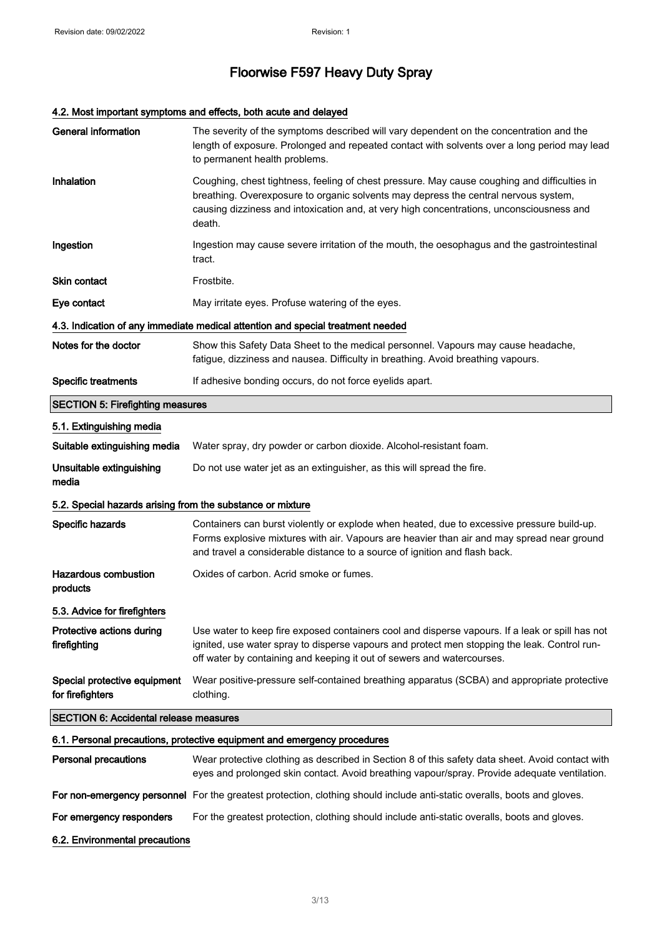# 4.2. Most important symptoms and effects, both acute and delayed

| <b>General information</b>                                 | The severity of the symptoms described will vary dependent on the concentration and the<br>length of exposure. Prolonged and repeated contact with solvents over a long period may lead<br>to permanent health problems.                                                                  |
|------------------------------------------------------------|-------------------------------------------------------------------------------------------------------------------------------------------------------------------------------------------------------------------------------------------------------------------------------------------|
| Inhalation                                                 | Coughing, chest tightness, feeling of chest pressure. May cause coughing and difficulties in<br>breathing. Overexposure to organic solvents may depress the central nervous system,<br>causing dizziness and intoxication and, at very high concentrations, unconsciousness and<br>death. |
| Ingestion                                                  | Ingestion may cause severe irritation of the mouth, the oesophagus and the gastrointestinal<br>tract.                                                                                                                                                                                     |
| Skin contact                                               | Frostbite.                                                                                                                                                                                                                                                                                |
| Eye contact                                                | May irritate eyes. Profuse watering of the eyes.                                                                                                                                                                                                                                          |
|                                                            | 4.3. Indication of any immediate medical attention and special treatment needed                                                                                                                                                                                                           |
| Notes for the doctor                                       | Show this Safety Data Sheet to the medical personnel. Vapours may cause headache,<br>fatigue, dizziness and nausea. Difficulty in breathing. Avoid breathing vapours.                                                                                                                     |
| <b>Specific treatments</b>                                 | If adhesive bonding occurs, do not force eyelids apart.                                                                                                                                                                                                                                   |
| <b>SECTION 5: Firefighting measures</b>                    |                                                                                                                                                                                                                                                                                           |
| 5.1. Extinguishing media                                   |                                                                                                                                                                                                                                                                                           |
| Suitable extinguishing media                               | Water spray, dry powder or carbon dioxide. Alcohol-resistant foam.                                                                                                                                                                                                                        |
| Unsuitable extinguishing<br>media                          | Do not use water jet as an extinguisher, as this will spread the fire.                                                                                                                                                                                                                    |
| 5.2. Special hazards arising from the substance or mixture |                                                                                                                                                                                                                                                                                           |
| Specific hazards                                           | Containers can burst violently or explode when heated, due to excessive pressure build-up.<br>Forms explosive mixtures with air. Vapours are heavier than air and may spread near ground<br>and travel a considerable distance to a source of ignition and flash back.                    |
| Hazardous combustion<br>products                           | Oxides of carbon. Acrid smoke or fumes.                                                                                                                                                                                                                                                   |
| 5.3. Advice for firefighters                               |                                                                                                                                                                                                                                                                                           |
| Protective actions during<br>firefighting                  | Use water to keep fire exposed containers cool and disperse vapours. If a leak or spill has not<br>ignited, use water spray to disperse vapours and protect men stopping the leak. Control run-<br>off water by containing and keeping it out of sewers and watercourses.                 |
| Special protective equipment<br>for firefighters           | Wear positive-pressure self-contained breathing apparatus (SCBA) and appropriate protective<br>clothing.                                                                                                                                                                                  |
| <b>SECTION 6: Accidental release measures</b>              |                                                                                                                                                                                                                                                                                           |
|                                                            | 6.1. Personal precautions, protective equipment and emergency procedures                                                                                                                                                                                                                  |
| <b>Personal precautions</b>                                | Wear protective clothing as described in Section 8 of this safety data sheet. Avoid contact with<br>eyes and prolonged skin contact. Avoid breathing vapour/spray. Provide adequate ventilation.                                                                                          |
|                                                            | For non-emergency personnel For the greatest protection, clothing should include anti-static overalls, boots and gloves.                                                                                                                                                                  |
| For emergency responders                                   | For the greatest protection, clothing should include anti-static overalls, boots and gloves.                                                                                                                                                                                              |
| 6.2. Environmental precautions                             |                                                                                                                                                                                                                                                                                           |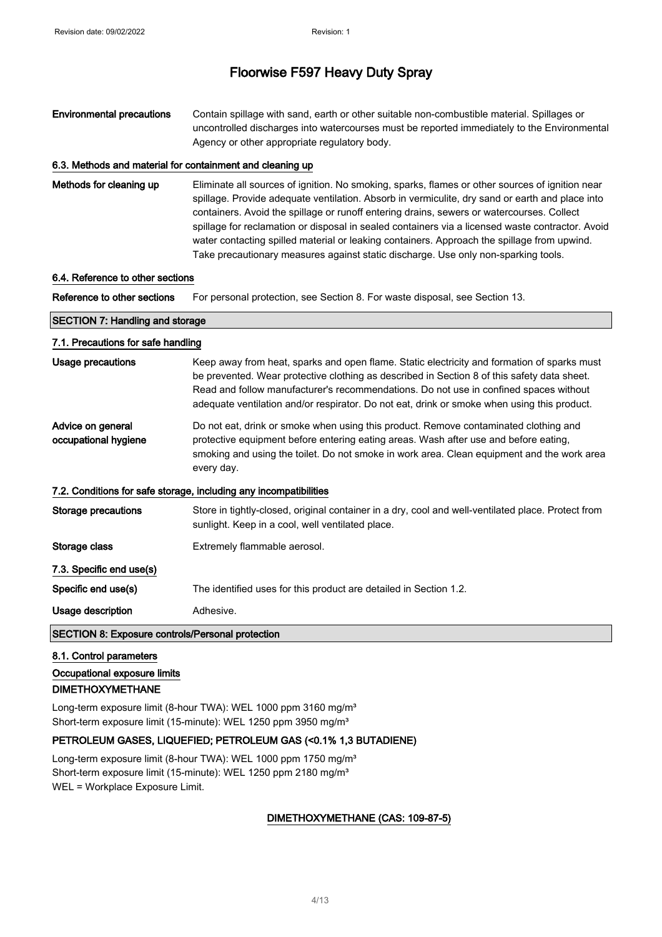Environmental precautions Contain spillage with sand, earth or other suitable non-combustible material. Spillages or uncontrolled discharges into watercourses must be reported immediately to the Environmental Agency or other appropriate regulatory body.

#### 6.3. Methods and material for containment and cleaning up

Methods for cleaning up Eliminate all sources of ignition. No smoking, sparks, flames or other sources of ignition near spillage. Provide adequate ventilation. Absorb in vermiculite, dry sand or earth and place into containers. Avoid the spillage or runoff entering drains, sewers or watercourses. Collect spillage for reclamation or disposal in sealed containers via a licensed waste contractor. Avoid water contacting spilled material or leaking containers. Approach the spillage from upwind. Take precautionary measures against static discharge. Use only non-sparking tools.

#### 6.4. Reference to other sections

Reference to other sections For personal protection, see Section 8. For waste disposal, see Section 13.

## SECTION 7: Handling and storage 7.1. Precautions for safe handling Usage precautions **Keep away from heat, sparks and open flame**. Static electricity and formation of sparks must be prevented. Wear protective clothing as described in Section 8 of this safety data sheet. Read and follow manufacturer's recommendations. Do not use in confined spaces without adequate ventilation and/or respirator. Do not eat, drink or smoke when using this product. Advice on general occupational hygiene Do not eat, drink or smoke when using this product. Remove contaminated clothing and protective equipment before entering eating areas. Wash after use and before eating, smoking and using the toilet. Do not smoke in work area. Clean equipment and the work area every day. 7.2. Conditions for safe storage, including any incompatibilities Storage precautions Store in tightly-closed, original container in a dry, cool and well-ventilated place. Protect from sunlight. Keep in a cool, well ventilated place. Storage class Extremely flammable aerosol.

Specific end use(s) The identified uses for this product are detailed in Section 1.2.

Usage description **Adhesive.** 

#### SECTION 8: Exposure controls/Personal protection

#### 8.1. Control parameters

7.3. Specific end use(s)

Occupational exposure limits

#### DIMETHOXYMETHANE

Long-term exposure limit (8-hour TWA): WEL 1000 ppm 3160 mg/m<sup>3</sup> Short-term exposure limit (15-minute): WEL 1250 ppm 3950 mg/m<sup>3</sup>

#### PETROLEUM GASES, LIQUEFIED; PETROLEUM GAS (<0.1% 1,3 BUTADIENE)

Long-term exposure limit (8-hour TWA): WEL 1000 ppm 1750 mg/m<sup>3</sup> Short-term exposure limit (15-minute): WEL 1250 ppm 2180 mg/m<sup>3</sup> WEL = Workplace Exposure Limit.

#### DIMETHOXYMETHANE (CAS: 109-87-5)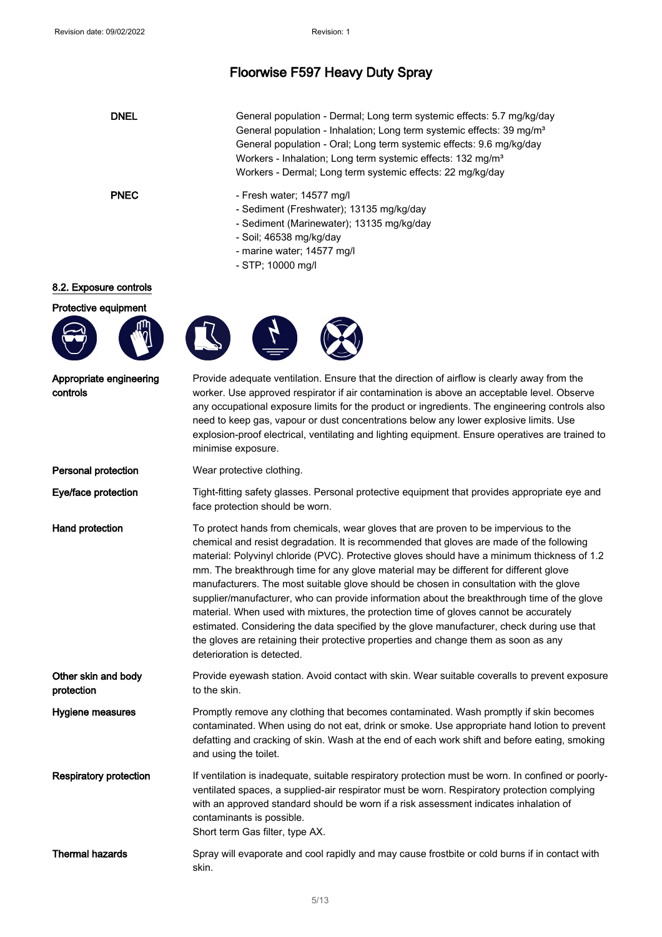| <b>DNEL</b> | General population - Dermal; Long term systemic effects: 5.7 mg/kg/day<br>General population - Inhalation; Long term systemic effects: 39 mg/m <sup>3</sup><br>General population - Oral; Long term systemic effects: 9.6 mg/kg/day<br>Workers - Inhalation; Long term systemic effects: 132 mg/m <sup>3</sup><br>Workers - Dermal; Long term systemic effects: 22 mg/kg/day |
|-------------|------------------------------------------------------------------------------------------------------------------------------------------------------------------------------------------------------------------------------------------------------------------------------------------------------------------------------------------------------------------------------|
| <b>PNEC</b> | - Fresh water; 14577 mg/l<br>- Sediment (Freshwater); 13135 mg/kg/day<br>- Sediment (Marinewater); 13135 mg/kg/day<br>- Soil; 46538 mg/kg/day<br>- marine water; 14577 mg/l<br>- STP: 10000 mg/l                                                                                                                                                                             |

#### 8.2. Exposure controls



Appropriate engineering

controls







Provide adequate ventilation. Ensure that the direction of airflow is clearly away from the worker. Use approved respirator if air contamination is above an acceptable level. Observe any occupational exposure limits for the product or ingredients. The engineering controls also need to keep gas, vapour or dust concentrations below any lower explosive limits. Use explosion-proof electrical, ventilating and lighting equipment. Ensure operatives are trained to minimise exposure.

**Personal protection** Wear protective clothing.

Eye/face protection Tight-fitting safety glasses. Personal protective equipment that provides appropriate eye and face protection should be worn.

Hand protection To protect hands from chemicals, wear gloves that are proven to be impervious to the chemical and resist degradation. It is recommended that gloves are made of the following material: Polyvinyl chloride (PVC). Protective gloves should have a minimum thickness of 1.2 mm. The breakthrough time for any glove material may be different for different glove manufacturers. The most suitable glove should be chosen in consultation with the glove supplier/manufacturer, who can provide information about the breakthrough time of the glove material. When used with mixtures, the protection time of gloves cannot be accurately estimated. Considering the data specified by the glove manufacturer, check during use that the gloves are retaining their protective properties and change them as soon as any deterioration is detected.

Other skin and body protection Provide eyewash station. Avoid contact with skin. Wear suitable coveralls to prevent exposure to the skin.

Hygiene measures **Promptly remove any clothing that becomes contaminated.** Wash promptly if skin becomes contaminated. When using do not eat, drink or smoke. Use appropriate hand lotion to prevent defatting and cracking of skin. Wash at the end of each work shift and before eating, smoking and using the toilet.

Respiratory protection If ventilation is inadequate, suitable respiratory protection must be worn. In confined or poorlyventilated spaces, a supplied-air respirator must be worn. Respiratory protection complying with an approved standard should be worn if a risk assessment indicates inhalation of contaminants is possible. Short term Gas filter, type AX.

Thermal hazards Spray will evaporate and cool rapidly and may cause frostbite or cold burns if in contact with skin.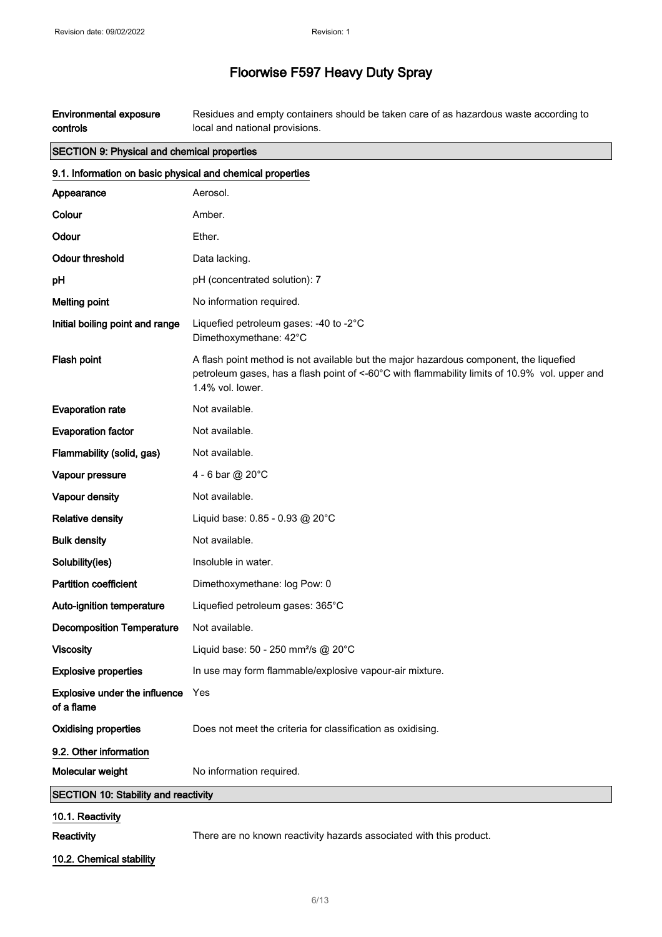Environmental exposure controls Residues and empty containers should be taken care of as hazardous waste according to local and national provisions.

# SECTION 9: Physical and chemical properties

| 9.1. Information on basic physical and chemical properties |                                                                                                                                                                                                             |
|------------------------------------------------------------|-------------------------------------------------------------------------------------------------------------------------------------------------------------------------------------------------------------|
| Appearance                                                 | Aerosol.                                                                                                                                                                                                    |
| Colour                                                     | Amber.                                                                                                                                                                                                      |
| Odour                                                      | Ether.                                                                                                                                                                                                      |
| <b>Odour threshold</b>                                     | Data lacking.                                                                                                                                                                                               |
| рH                                                         | pH (concentrated solution): 7                                                                                                                                                                               |
| <b>Melting point</b>                                       | No information required.                                                                                                                                                                                    |
| Initial boiling point and range                            | Liquefied petroleum gases: -40 to -2°C<br>Dimethoxymethane: 42°C                                                                                                                                            |
| Flash point                                                | A flash point method is not available but the major hazardous component, the liquefied<br>petroleum gases, has a flash point of <-60°C with flammability limits of 10.9% vol. upper and<br>1.4% vol. lower. |
| <b>Evaporation rate</b>                                    | Not available.                                                                                                                                                                                              |
| <b>Evaporation factor</b>                                  | Not available.                                                                                                                                                                                              |
| Flammability (solid, gas)                                  | Not available.                                                                                                                                                                                              |
| Vapour pressure                                            | 4 - 6 bar @ 20°C                                                                                                                                                                                            |
| Vapour density                                             | Not available.                                                                                                                                                                                              |
| <b>Relative density</b>                                    | Liquid base: 0.85 - 0.93 @ 20°C                                                                                                                                                                             |
| <b>Bulk density</b>                                        | Not available.                                                                                                                                                                                              |
| Solubility(ies)                                            | Insoluble in water.                                                                                                                                                                                         |
| <b>Partition coefficient</b>                               | Dimethoxymethane: log Pow: 0                                                                                                                                                                                |
| Auto-ignition temperature                                  | Liquefied petroleum gases: 365°C                                                                                                                                                                            |
| <b>Decomposition Temperature</b>                           | Not available.                                                                                                                                                                                              |
| <b>Viscosity</b>                                           | Liquid base: 50 - 250 mm <sup>2</sup> /s @ 20°C                                                                                                                                                             |
| <b>Explosive properties</b>                                | In use may form flammable/explosive vapour-air mixture.                                                                                                                                                     |
| Explosive under the influence<br>of a flame                | Yes                                                                                                                                                                                                         |
| <b>Oxidising properties</b>                                | Does not meet the criteria for classification as oxidising.                                                                                                                                                 |
| 9.2. Other information                                     |                                                                                                                                                                                                             |
| Molecular weight                                           | No information required.                                                                                                                                                                                    |
| <b>SECTION 10: Stability and reactivity</b>                |                                                                                                                                                                                                             |
| 10.1. Reactivity                                           |                                                                                                                                                                                                             |
| <b>Reactivity</b>                                          | There are no known reactivity hazards associated with this product.                                                                                                                                         |

10.2. Chemical stability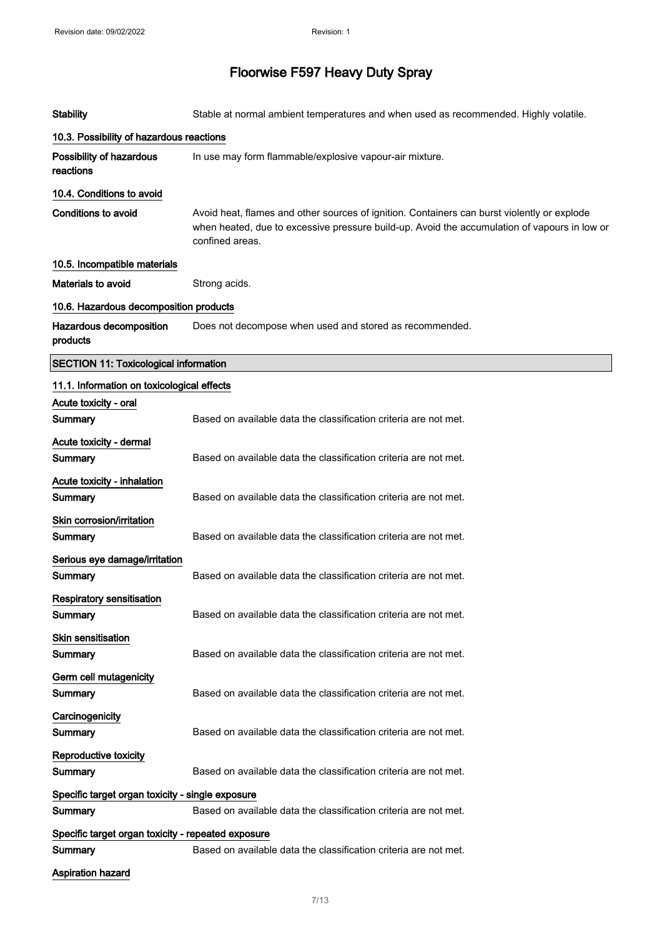| <b>Stability</b>                                   | Stable at normal ambient temperatures and when used as recommended. Highly volatile.                                                                                                                           |
|----------------------------------------------------|----------------------------------------------------------------------------------------------------------------------------------------------------------------------------------------------------------------|
| 10.3. Possibility of hazardous reactions           |                                                                                                                                                                                                                |
| Possibility of hazardous<br>reactions              | In use may form flammable/explosive vapour-air mixture.                                                                                                                                                        |
| 10.4. Conditions to avoid                          |                                                                                                                                                                                                                |
| <b>Conditions to avoid</b>                         | Avoid heat, flames and other sources of ignition. Containers can burst violently or explode<br>when heated, due to excessive pressure build-up. Avoid the accumulation of vapours in low or<br>confined areas. |
| 10.5. Incompatible materials                       |                                                                                                                                                                                                                |
| <b>Materials to avoid</b>                          | Strong acids.                                                                                                                                                                                                  |
| 10.6. Hazardous decomposition products             |                                                                                                                                                                                                                |
| Hazardous decomposition<br>products                | Does not decompose when used and stored as recommended.                                                                                                                                                        |
| <b>SECTION 11: Toxicological information</b>       |                                                                                                                                                                                                                |
| 11.1. Information on toxicological effects         |                                                                                                                                                                                                                |
| Acute toxicity - oral<br>Summary                   | Based on available data the classification criteria are not met.                                                                                                                                               |
| Acute toxicity - dermal<br>Summary                 | Based on available data the classification criteria are not met.                                                                                                                                               |
| Acute toxicity - inhalation<br><b>Summary</b>      | Based on available data the classification criteria are not met.                                                                                                                                               |
| Skin corrosion/irritation<br>Summary               | Based on available data the classification criteria are not met.                                                                                                                                               |
| Serious eye damage/irritation<br><b>Summary</b>    | Based on available data the classification criteria are not met.                                                                                                                                               |
| <b>Respiratory sensitisation</b><br>Summary        | Based on available data the classification criteria are not met.                                                                                                                                               |
| Skin sensitisation<br>Summary                      | Based on available data the classification criteria are not met.                                                                                                                                               |
| Germ cell mutagenicity<br>Summary                  | Based on available data the classification criteria are not met.                                                                                                                                               |
| Carcinogenicity<br>Summary                         | Based on available data the classification criteria are not met.                                                                                                                                               |
| Reproductive toxicity<br>Summary                   | Based on available data the classification criteria are not met.                                                                                                                                               |
| Specific target organ toxicity - single exposure   |                                                                                                                                                                                                                |
| Summary                                            | Based on available data the classification criteria are not met.                                                                                                                                               |
| Specific target organ toxicity - repeated exposure |                                                                                                                                                                                                                |
| Summary                                            | Based on available data the classification criteria are not met.                                                                                                                                               |
| <b>Aspiration hazard</b>                           |                                                                                                                                                                                                                |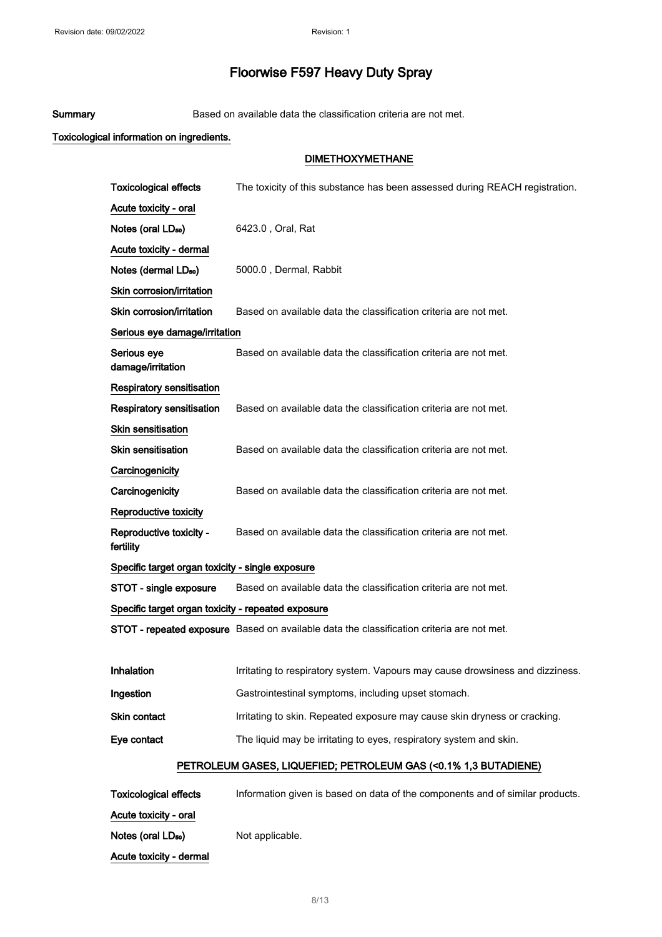Summary Based on available data the classification criteria are not met.

## Toxicological information on ingredients.

#### DIMETHOXYMETHANE

| <b>Toxicological effects</b>                       | The toxicity of this substance has been assessed during REACH registration.               |  |
|----------------------------------------------------|-------------------------------------------------------------------------------------------|--|
| Acute toxicity - oral                              |                                                                                           |  |
| Notes (oral LD <sub>50</sub> )                     | 6423.0, Oral, Rat                                                                         |  |
| Acute toxicity - dermal                            |                                                                                           |  |
| Notes (dermal LD <sub>50</sub> )                   | 5000.0, Dermal, Rabbit                                                                    |  |
| Skin corrosion/irritation                          |                                                                                           |  |
| Skin corrosion/irritation                          | Based on available data the classification criteria are not met.                          |  |
| Serious eye damage/irritation                      |                                                                                           |  |
| Serious eye<br>damage/irritation                   | Based on available data the classification criteria are not met.                          |  |
| Respiratory sensitisation                          |                                                                                           |  |
| <b>Respiratory sensitisation</b>                   | Based on available data the classification criteria are not met.                          |  |
| Skin sensitisation                                 |                                                                                           |  |
| <b>Skin sensitisation</b>                          | Based on available data the classification criteria are not met.                          |  |
| Carcinogenicity                                    |                                                                                           |  |
| Carcinogenicity                                    | Based on available data the classification criteria are not met.                          |  |
| Reproductive toxicity                              |                                                                                           |  |
| Reproductive toxicity -<br>fertility               | Based on available data the classification criteria are not met.                          |  |
| Specific target organ toxicity - single exposure   |                                                                                           |  |
| STOT - single exposure                             | Based on available data the classification criteria are not met.                          |  |
| Specific target organ toxicity - repeated exposure |                                                                                           |  |
|                                                    | STOT - repeated exposure Based on available data the classification criteria are not met. |  |
|                                                    |                                                                                           |  |
| Inhalation                                         | Irritating to respiratory system. Vapours may cause drowsiness and dizziness.             |  |
| Ingestion                                          | Gastrointestinal symptoms, including upset stomach.                                       |  |
| Skin contact                                       | Irritating to skin. Repeated exposure may cause skin dryness or cracking.                 |  |
| Eye contact                                        | The liquid may be irritating to eyes, respiratory system and skin.                        |  |
|                                                    | PETROLEUM GASES, LIQUEFIED; PETROLEUM GAS (<0.1% 1,3 BUTADIENE)                           |  |
| <b>Toxicological effects</b>                       | Information given is based on data of the components and of similar products.             |  |

Acute toxicity - oral

Notes (oral LD<sub>so</sub>) Not applicable.

Acute toxicity - dermal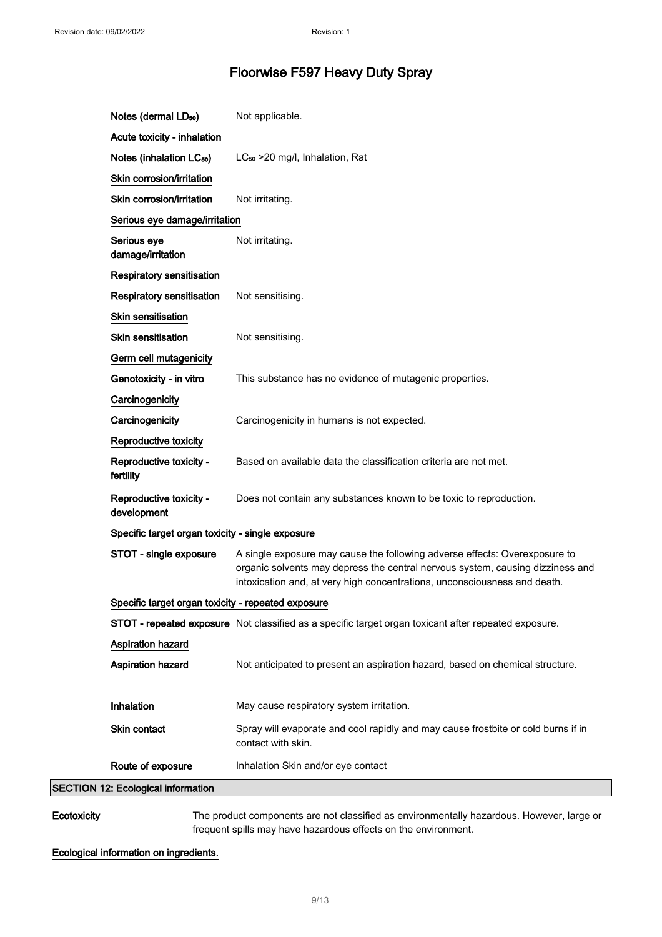| Notes (dermal LD <sub>50</sub> )                   | Not applicable.                                                                                                                                                                                                                           |
|----------------------------------------------------|-------------------------------------------------------------------------------------------------------------------------------------------------------------------------------------------------------------------------------------------|
| Acute toxicity - inhalation                        |                                                                                                                                                                                                                                           |
| Notes (inhalation LC <sub>50</sub> )               | LC <sub>50</sub> > 20 mg/l, Inhalation, Rat                                                                                                                                                                                               |
| Skin corrosion/irritation                          |                                                                                                                                                                                                                                           |
| Skin corrosion/irritation                          | Not irritating.                                                                                                                                                                                                                           |
| Serious eye damage/irritation                      |                                                                                                                                                                                                                                           |
| Serious eye<br>damage/irritation                   | Not irritating.                                                                                                                                                                                                                           |
| Respiratory sensitisation                          |                                                                                                                                                                                                                                           |
| <b>Respiratory sensitisation</b>                   | Not sensitising.                                                                                                                                                                                                                          |
| <b>Skin sensitisation</b>                          |                                                                                                                                                                                                                                           |
| Skin sensitisation                                 | Not sensitising.                                                                                                                                                                                                                          |
| Germ cell mutagenicity                             |                                                                                                                                                                                                                                           |
| Genotoxicity - in vitro                            | This substance has no evidence of mutagenic properties.                                                                                                                                                                                   |
| Carcinogenicity                                    |                                                                                                                                                                                                                                           |
| Carcinogenicity                                    | Carcinogenicity in humans is not expected.                                                                                                                                                                                                |
| Reproductive toxicity                              |                                                                                                                                                                                                                                           |
| Reproductive toxicity -<br>fertility               | Based on available data the classification criteria are not met.                                                                                                                                                                          |
| Reproductive toxicity -<br>development             | Does not contain any substances known to be toxic to reproduction.                                                                                                                                                                        |
| Specific target organ toxicity - single exposure   |                                                                                                                                                                                                                                           |
| STOT - single exposure                             | A single exposure may cause the following adverse effects: Overexposure to<br>organic solvents may depress the central nervous system, causing dizziness and<br>intoxication and, at very high concentrations, unconsciousness and death. |
| Specific target organ toxicity - repeated exposure |                                                                                                                                                                                                                                           |
|                                                    | STOT - repeated exposure Not classified as a specific target organ toxicant after repeated exposure.                                                                                                                                      |
| Aspiration hazard                                  |                                                                                                                                                                                                                                           |
| Aspiration hazard                                  | Not anticipated to present an aspiration hazard, based on chemical structure.                                                                                                                                                             |
|                                                    |                                                                                                                                                                                                                                           |
| Inhalation                                         | May cause respiratory system irritation.                                                                                                                                                                                                  |
| Skin contact                                       | Spray will evaporate and cool rapidly and may cause frostbite or cold burns if in<br>contact with skin.                                                                                                                                   |
| Route of exposure                                  | Inhalation Skin and/or eye contact                                                                                                                                                                                                        |
| <b>SECTION 12: Ecological information</b>          |                                                                                                                                                                                                                                           |

Ecotoxicity The product components are not classified as environmentally hazardous. However, large or frequent spills may have hazardous effects on the environment.

## Ecological information on ingredients.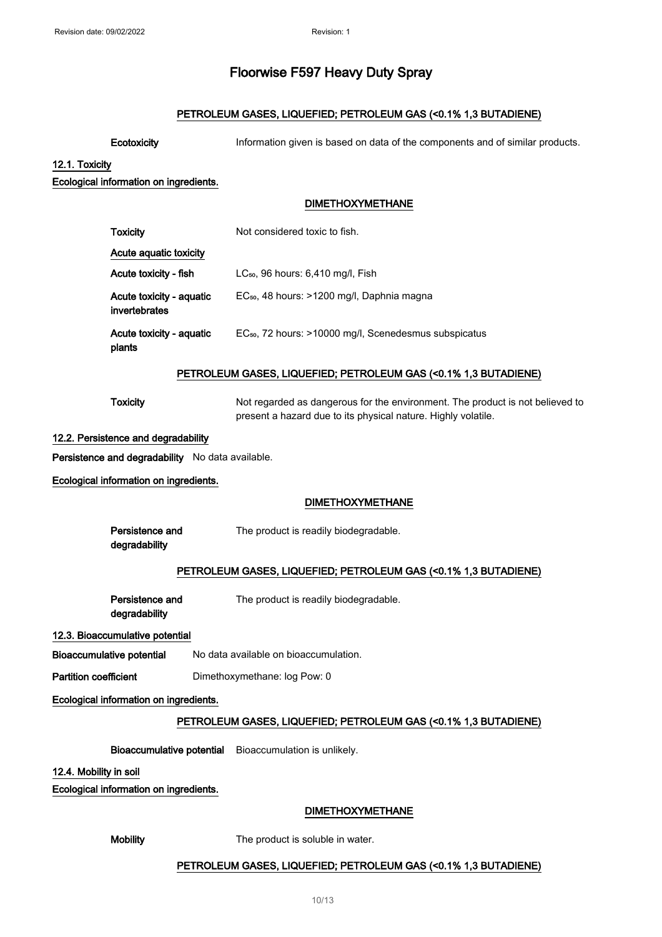## PETROLEUM GASES, LIQUEFIED; PETROLEUM GAS (<0.1% 1,3 BUTADIENE)

Ecotoxicity **Information given is based on data of the components and of similar products.** 

#### 12.1. Toxicity

#### Ecological information on ingredients.

#### DIMETHOXYMETHANE

| <b>Toxicity</b>                           | Not considered toxic to fish.                                     |
|-------------------------------------------|-------------------------------------------------------------------|
| Acute aguatic toxicity                    |                                                                   |
| Acute toxicity - fish                     | $LC_{50}$ , 96 hours: 6,410 mg/l, Fish                            |
| Acute toxicity - aquatic<br>invertebrates | EC <sub>50</sub> , 48 hours: >1200 mg/l, Daphnia magna            |
| Acute toxicity - aquatic<br>plants        | EC <sub>50</sub> , 72 hours: >10000 mg/l, Scenedesmus subspicatus |

## PETROLEUM GASES, LIQUEFIED; PETROLEUM GAS (<0.1% 1,3 BUTADIENE)

Toxicity **Not regarded as dangerous for the environment**. The product is not believed to present a hazard due to its physical nature. Highly volatile.

#### 12.2. Persistence and degradability

Persistence and degradability No data available.

Ecological information on ingredients.

#### DIMETHOXYMETHANE

| Persistence and | The product is readily biodegradable. |
|-----------------|---------------------------------------|
|                 |                                       |

degradability

#### PETROLEUM GASES, LIQUEFIED; PETROLEUM GAS (<0.1% 1,3 BUTADIENE)

Persistence and

The product is readily biodegradable.

degradability

#### 12.3. Bioaccumulative potential

Bioaccumulative potential No data available on bioaccumulation.

Partition coefficient Dimethoxymethane: log Pow: 0

### Ecological information on ingredients.

#### PETROLEUM GASES, LIQUEFIED; PETROLEUM GAS (<0.1% 1,3 BUTADIENE)

Bioaccumulative potential Bioaccumulation is unlikely.

#### 12.4. Mobility in soil

Ecological information on ingredients.

#### DIMETHOXYMETHANE

Mobility The product is soluble in water.

#### PETROLEUM GASES, LIQUEFIED; PETROLEUM GAS (<0.1% 1,3 BUTADIENE)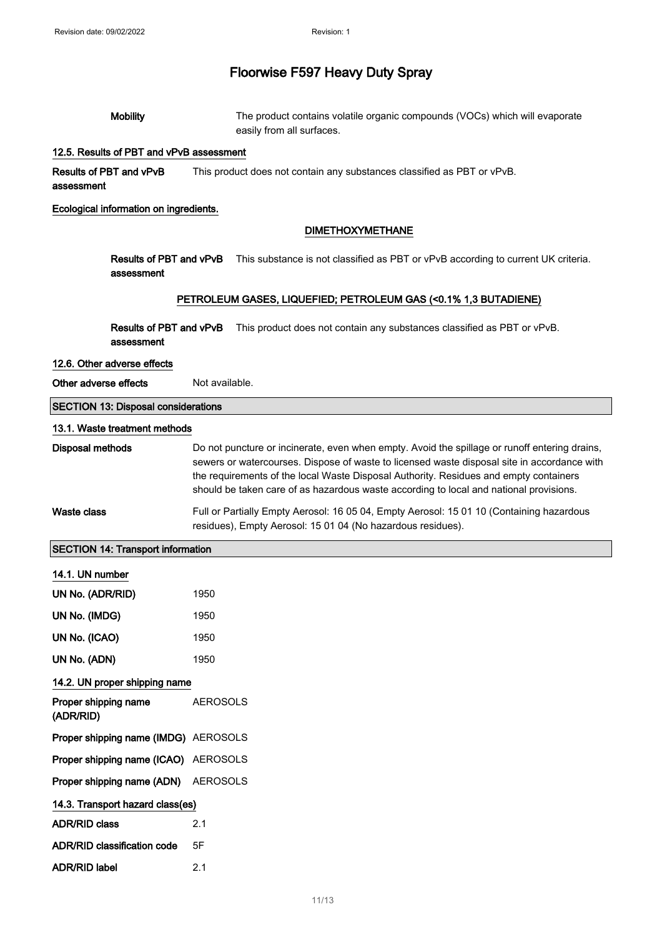| <b>Mobility</b>                              | The product contains volatile organic compounds (VOCs) which will evaporate                                                                                                                                                                                                                                                                                                     |  |
|----------------------------------------------|---------------------------------------------------------------------------------------------------------------------------------------------------------------------------------------------------------------------------------------------------------------------------------------------------------------------------------------------------------------------------------|--|
|                                              | easily from all surfaces.                                                                                                                                                                                                                                                                                                                                                       |  |
| 12.5. Results of PBT and vPvB assessment     |                                                                                                                                                                                                                                                                                                                                                                                 |  |
| Results of PBT and vPvB<br>assessment        | This product does not contain any substances classified as PBT or vPvB.                                                                                                                                                                                                                                                                                                         |  |
| Ecological information on ingredients.       |                                                                                                                                                                                                                                                                                                                                                                                 |  |
|                                              | <b>DIMETHOXYMETHANE</b>                                                                                                                                                                                                                                                                                                                                                         |  |
| Results of PBT and vPvB<br>assessment        | This substance is not classified as PBT or vPvB according to current UK criteria.                                                                                                                                                                                                                                                                                               |  |
|                                              | PETROLEUM GASES, LIQUEFIED; PETROLEUM GAS (<0.1% 1,3 BUTADIENE)                                                                                                                                                                                                                                                                                                                 |  |
| <b>Results of PBT and vPvB</b><br>assessment | This product does not contain any substances classified as PBT or vPvB.                                                                                                                                                                                                                                                                                                         |  |
| 12.6. Other adverse effects                  |                                                                                                                                                                                                                                                                                                                                                                                 |  |
| Other adverse effects                        | Not available.                                                                                                                                                                                                                                                                                                                                                                  |  |
| <b>SECTION 13: Disposal considerations</b>   |                                                                                                                                                                                                                                                                                                                                                                                 |  |
| 13.1. Waste treatment methods                |                                                                                                                                                                                                                                                                                                                                                                                 |  |
| <b>Disposal methods</b>                      | Do not puncture or incinerate, even when empty. Avoid the spillage or runoff entering drains,<br>sewers or watercourses. Dispose of waste to licensed waste disposal site in accordance with<br>the requirements of the local Waste Disposal Authority. Residues and empty containers<br>should be taken care of as hazardous waste according to local and national provisions. |  |
| <b>Waste class</b>                           | Full or Partially Empty Aerosol: 16 05 04, Empty Aerosol: 15 01 10 (Containing hazardous<br>residues), Empty Aerosol: 15 01 04 (No hazardous residues).                                                                                                                                                                                                                         |  |
| <b>SECTION 14: Transport information</b>     |                                                                                                                                                                                                                                                                                                                                                                                 |  |
| 14.1. UN number                              |                                                                                                                                                                                                                                                                                                                                                                                 |  |
| UN No. (ADR/RID)                             | 1950                                                                                                                                                                                                                                                                                                                                                                            |  |
| UN No. (IMDG)                                | 1950                                                                                                                                                                                                                                                                                                                                                                            |  |
| UN No. (ICAO)                                | 1950                                                                                                                                                                                                                                                                                                                                                                            |  |
| UN No. (ADN)                                 | 1950                                                                                                                                                                                                                                                                                                                                                                            |  |
| 14.2. UN proper shipping name                |                                                                                                                                                                                                                                                                                                                                                                                 |  |
| Proper shipping name<br>(ADR/RID)            | <b>AEROSOLS</b>                                                                                                                                                                                                                                                                                                                                                                 |  |
| Proper shipping name (IMDG) AEROSOLS         |                                                                                                                                                                                                                                                                                                                                                                                 |  |
| Proper shipping name (ICAO) AEROSOLS         |                                                                                                                                                                                                                                                                                                                                                                                 |  |
| Proper shipping name (ADN)                   | <b>AEROSOLS</b>                                                                                                                                                                                                                                                                                                                                                                 |  |
| 14.3. Transport hazard class(es)             |                                                                                                                                                                                                                                                                                                                                                                                 |  |
| <b>ADR/RID class</b>                         | 2.1                                                                                                                                                                                                                                                                                                                                                                             |  |
| <b>ADR/RID classification code</b>           | 5F                                                                                                                                                                                                                                                                                                                                                                              |  |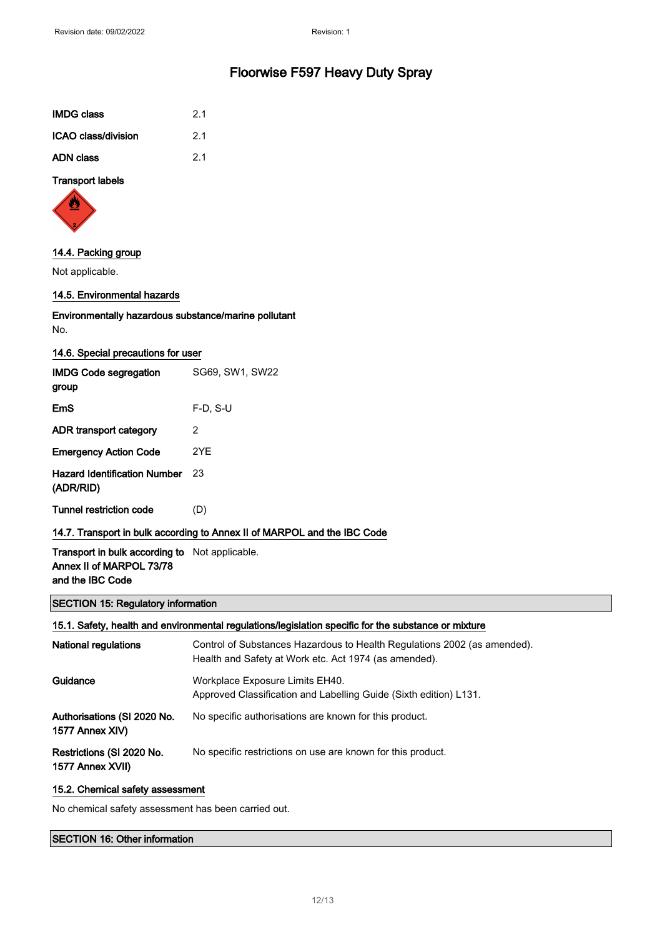| <b>IMDG class</b>   | 2.1 |
|---------------------|-----|
| ICAO class/division | 2.1 |
| <b>ADN class</b>    | 21  |

## Transport labels



#### 14.4. Packing group

Not applicable.

## 14.5. Environmental hazards

## Environmentally hazardous substance/marine pollutant No.

| 14.6. Special precautions for user                                       |                 |  |
|--------------------------------------------------------------------------|-----------------|--|
| <b>IMDG Code segregation</b><br>group                                    | SG69, SW1, SW22 |  |
| EmS                                                                      | $F-D. S-U$      |  |
| ADR transport category                                                   | 2               |  |
| <b>Emergency Action Code</b>                                             | 2YF             |  |
| <b>Hazard Identification Number</b><br>(ADR/RID)                         | 23              |  |
| Tunnel restriction code                                                  | (D)             |  |
| 14.7. Transport in bulk according to Annex II of MARPOL and the IBC Code |                 |  |

## Transport in bulk according to Not applicable. Annex II of MARPOL 73/78 and the IBC Code

## SECTION 15: Regulatory information

## 15.1. Safety, health and environmental regulations/legislation specific for the substance or mixture

| <b>National regulations</b>                    | Control of Substances Hazardous to Health Regulations 2002 (as amended).<br>Health and Safety at Work etc. Act 1974 (as amended). |
|------------------------------------------------|-----------------------------------------------------------------------------------------------------------------------------------|
| Guidance                                       | Workplace Exposure Limits EH40.<br>Approved Classification and Labelling Guide (Sixth edition) L131.                              |
| Authorisations (SI 2020 No.<br>1577 Annex XIV) | No specific authorisations are known for this product.                                                                            |
| Restrictions (SI 2020 No.<br>1577 Annex XVII)  | No specific restrictions on use are known for this product.                                                                       |

#### 15.2. Chemical safety assessment

No chemical safety assessment has been carried out.

## SECTION 16: Other information